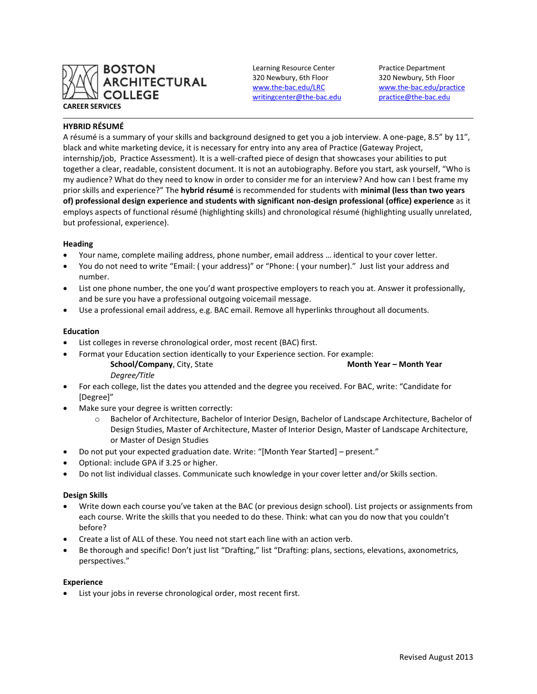

Learning Resource Center Practice Department 320 Newbury, 6th Floor 320 Newbury, 5th Floor [writingcenter@the-bac.edu](mailto:writingcenter@the-bac.edu) [practice@the-bac.edu](mailto:practice@the-bac.edu)

[www.the-bac.edu/LRC](http://www.the-bac.edu/LRC) [www.the-bac.edu/practice](http://www.the-bac.edu/practice)

# **HYBRID RÉSUMÉ**

A résumé is a summary of your skills and background designed to get you a job interview. A one-page, 8.5" by 11", black and white marketing device, it is necessary for entry into any area of Practice (Gateway Project, internship/job, Practice Assessment). It is a well-crafted piece of design that showcases your abilities to put together a clear, readable, consistent document. It is not an autobiography. Before you start, ask yourself, "Who is my audience? What do they need to know in order to consider me for an interview? And how can I best frame my prior skills and experience?" The **hybrid résumé** is recommended for students with **minimal (less than two years of) professional design experience and students with significant non-design professional (office) experience** as it employs aspects of functional résumé (highlighting skills) and chronological résumé (highlighting usually unrelated, but professional, experience).

# **Heading**

- Your name, complete mailing address, phone number, email address … identical to your cover letter.
- You do not need to write "Email: ( your address)" or "Phone: ( your number)." Just list your address and number.
- List one phone number, the one you'd want prospective employers to reach you at. Answer it professionally, and be sure you have a professional outgoing voicemail message.
- Use a professional email address, e.g. BAC email. Remove all hyperlinks throughout all documents.

# **Education**

- List colleges in reverse chronological order, most recent (BAC) first.
- Format your Education section identically to your Experience section. For example: **School/Company**, City, State **Month Year – Month Year** *Degree/Title*
- For each college, list the dates you attended and the degree you received. For BAC, write: "Candidate for [Degree]"
- Make sure your degree is written correctly:
	- o Bachelor of Architecture, Bachelor of Interior Design, Bachelor of Landscape Architecture, Bachelor of Design Studies, Master of Architecture, Master of Interior Design, Master of Landscape Architecture, or Master of Design Studies
- Do not put your expected graduation date. Write: "[Month Year Started] present."
- Optional: include GPA if 3.25 or higher.
- Do not list individual classes. Communicate such knowledge in your cover letter and/or Skills section.

# **Design Skills**

- Write down each course you've taken at the BAC (or previous design school). List projects or assignments from each course. Write the skills that you needed to do these. Think: what can you do now that you couldn't before?
- Create a list of ALL of these. You need not start each line with an action verb.
- Be thorough and specific! Don't just list "Drafting," list "Drafting: plans, sections, elevations, axonometrics, perspectives."

# **Experience**

List your jobs in reverse chronological order, most recent first.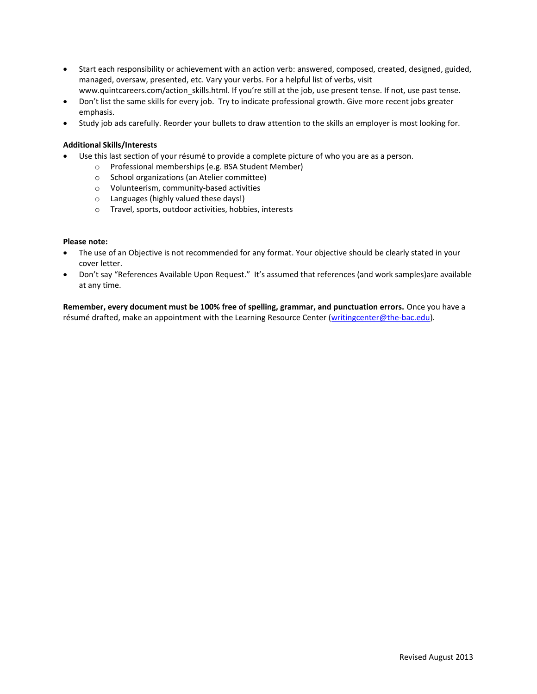- Start each responsibility or achievement with an action verb: answered, composed, created, designed, guided, managed, oversaw, presented, etc. Vary your verbs. For a helpful list of verbs, visit www.quintcareers.com/action\_skills.html. If you're still at the job, use present tense. If not, use past tense.
- Don't list the same skills for every job. Try to indicate professional growth. Give more recent jobs greater emphasis.
- Study job ads carefully. Reorder your bullets to draw attention to the skills an employer is most looking for.

# **Additional Skills/Interests**

- Use this last section of your résumé to provide a complete picture of who you are as a person.
	- o Professional memberships (e.g. BSA Student Member)
	- o School organizations (an Atelier committee)
	- o Volunteerism, community-based activities
	- o Languages (highly valued these days!)
	- o Travel, sports, outdoor activities, hobbies, interests

# **Please note:**

- The use of an Objective is not recommended for any format. Your objective should be clearly stated in your cover letter.
- Don't say "References Available Upon Request." It's assumed that references (and work samples)are available at any time.

**Remember, every document must be 100% free of spelling, grammar, and punctuation errors.** Once you have a résumé drafted, make an appointment with the Learning Resource Center [\(writingcenter@the-bac.edu\)](mailto:writingcenter@the-bac.edu).